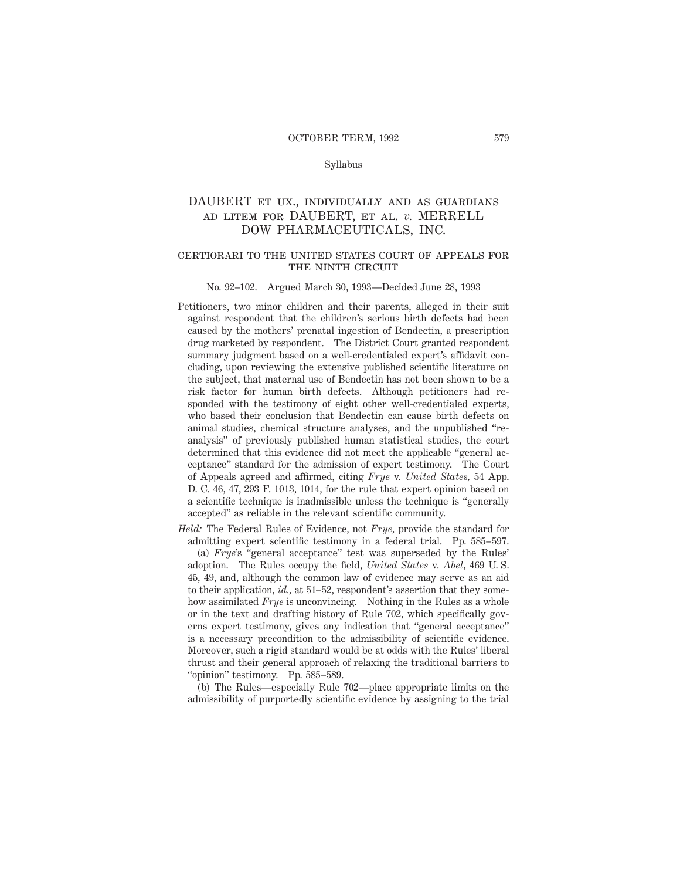## Syllabus

# DAUBERT et ux., individually and as guardians ad litem for DAUBERT, et al. *v.* MERRELL DOW PHARMACEUTICALS, INC.

# certiorari to the united states court of appeals for THE NINTH CIRCUIT

#### No. 92–102. Argued March 30, 1993—Decided June 28, 1993

- Petitioners, two minor children and their parents, alleged in their suit against respondent that the children's serious birth defects had been caused by the mothers' prenatal ingestion of Bendectin, a prescription drug marketed by respondent. The District Court granted respondent summary judgment based on a well-credentialed expert's affidavit concluding, upon reviewing the extensive published scientific literature on the subject, that maternal use of Bendectin has not been shown to be a risk factor for human birth defects. Although petitioners had responded with the testimony of eight other well-credentialed experts, who based their conclusion that Bendectin can cause birth defects on animal studies, chemical structure analyses, and the unpublished "reanalysis" of previously published human statistical studies, the court determined that this evidence did not meet the applicable "general acceptance" standard for the admission of expert testimony. The Court of Appeals agreed and affirmed, citing *Frye* v. *United States,* 54 App. D. C. 46, 47, 293 F. 1013, 1014, for the rule that expert opinion based on a scientific technique is inadmissible unless the technique is "generally accepted" as reliable in the relevant scientific community.
- *Held:* The Federal Rules of Evidence, not *Frye,* provide the standard for admitting expert scientific testimony in a federal trial. Pp. 585–597. (a) *Frye*'s "general acceptance" test was superseded by the Rules' adoption. The Rules occupy the field, *United States* v. *Abel,* 469 U. S. 45, 49, and, although the common law of evidence may serve as an aid to their application, *id.,* at 51–52, respondent's assertion that they somehow assimilated *Frye* is unconvincing. Nothing in the Rules as a whole or in the text and drafting history of Rule 702, which specifically governs expert testimony, gives any indication that "general acceptance" is a necessary precondition to the admissibility of scientific evidence. Moreover, such a rigid standard would be at odds with the Rules' liberal thrust and their general approach of relaxing the traditional barriers to "opinion" testimony. Pp. 585–589.

(b) The Rules—especially Rule 702—place appropriate limits on the admissibility of purportedly scientific evidence by assigning to the trial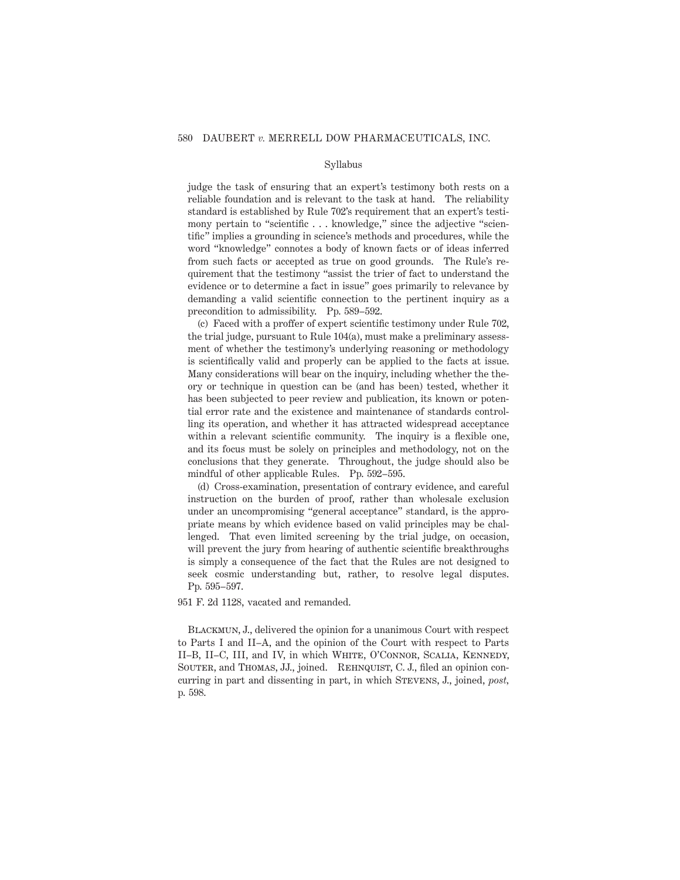### Syllabus

judge the task of ensuring that an expert's testimony both rests on a reliable foundation and is relevant to the task at hand. The reliability standard is established by Rule 702's requirement that an expert's testimony pertain to "scientific . . . knowledge," since the adjective "scientific" implies a grounding in science's methods and procedures, while the word "knowledge" connotes a body of known facts or of ideas inferred from such facts or accepted as true on good grounds. The Rule's requirement that the testimony "assist the trier of fact to understand the evidence or to determine a fact in issue" goes primarily to relevance by demanding a valid scientific connection to the pertinent inquiry as a precondition to admissibility. Pp. 589–592.

(c) Faced with a proffer of expert scientific testimony under Rule 702, the trial judge, pursuant to Rule 104(a), must make a preliminary assessment of whether the testimony's underlying reasoning or methodology is scientifically valid and properly can be applied to the facts at issue. Many considerations will bear on the inquiry, including whether the theory or technique in question can be (and has been) tested, whether it has been subjected to peer review and publication, its known or potential error rate and the existence and maintenance of standards controlling its operation, and whether it has attracted widespread acceptance within a relevant scientific community. The inquiry is a flexible one, and its focus must be solely on principles and methodology, not on the conclusions that they generate. Throughout, the judge should also be mindful of other applicable Rules. Pp. 592–595.

(d) Cross-examination, presentation of contrary evidence, and careful instruction on the burden of proof, rather than wholesale exclusion under an uncompromising "general acceptance" standard, is the appropriate means by which evidence based on valid principles may be challenged. That even limited screening by the trial judge, on occasion, will prevent the jury from hearing of authentic scientific breakthroughs is simply a consequence of the fact that the Rules are not designed to seek cosmic understanding but, rather, to resolve legal disputes. Pp. 595–597.

951 F. 2d 1128, vacated and remanded.

Blackmun, J., delivered the opinion for a unanimous Court with respect to Parts I and II–A, and the opinion of the Court with respect to Parts II–B, II–C, III, and IV, in which White, O'Connor, Scalia, Kennedy, SOUTER, and THOMAS, JJ., joined. REHNQUIST, C. J., filed an opinion concurring in part and dissenting in part, in which Stevens, J., joined, *post,* p. 598.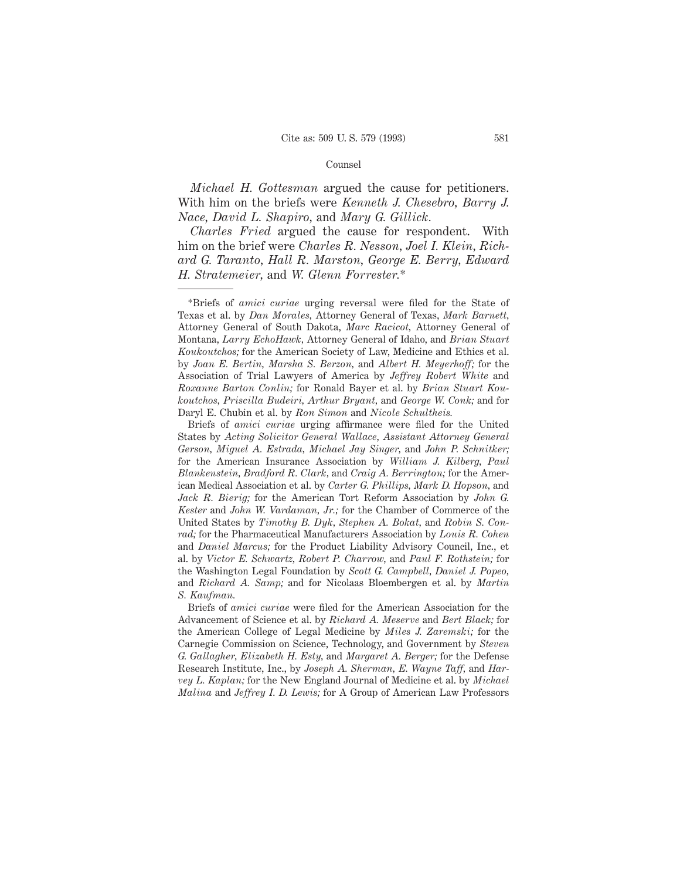### Counsel

*Michael H. Gottesman* argued the cause for petitioners. With him on the briefs were *Kenneth J. Chesebro, Barry J. Nace, David L. Shapiro,* and *Mary G. Gillick.*

*Charles Fried* argued the cause for respondent. With him on the brief were *Charles R. Nesson, Joel I. Klein, Richard G. Taranto, Hall R. Marston, George E. Berry, Edward H. Stratemeier,* and *W. Glenn Forrester.*\*

Briefs of *amici curiae* urging affirmance were filed for the United States by *Acting Solicitor General Wallace, Assistant Attorney General Gerson, Miguel A. Estrada, Michael Jay Singer,* and *John P. Schnitker;* for the American Insurance Association by *William J. Kilberg, Paul Blankenstein, Bradford R. Clark,* and *Craig A. Berrington;* for the American Medical Association et al. by *Carter G. Phillips, Mark D. Hopson,* and *Jack R. Bierig;* for the American Tort Reform Association by *John G. Kester* and *John W. Vardaman, Jr.;* for the Chamber of Commerce of the United States by *Timothy B. Dyk, Stephen A. Bokat,* and *Robin S. Conrad;* for the Pharmaceutical Manufacturers Association by *Louis R. Cohen* and *Daniel Marcus;* for the Product Liability Advisory Council, Inc., et al. by *Victor E. Schwartz, Robert P. Charrow,* and *Paul F. Rothstein;* for the Washington Legal Foundation by *Scott G. Campbell, Daniel J. Popeo,* and *Richard A. Samp;* and for Nicolaas Bloembergen et al. by *Martin S. Kaufman.*

Briefs of *amici curiae* were filed for the American Association for the Advancement of Science et al. by *Richard A. Meserve* and *Bert Black;* for the American College of Legal Medicine by *Miles J. Zaremski;* for the Carnegie Commission on Science, Technology, and Government by *Steven G. Gallagher, Elizabeth H. Esty,* and *Margaret A. Berger;* for the Defense Research Institute, Inc., by *Joseph A. Sherman, E. Wayne Taff,* and *Harvey L. Kaplan;* for the New England Journal of Medicine et al. by *Michael Malina* and *Jeffrey I. D. Lewis;* for A Group of American Law Professors

<sup>\*</sup>Briefs of *amici curiae* urging reversal were filed for the State of Texas et al. by *Dan Morales,* Attorney General of Texas, *Mark Barnett,* Attorney General of South Dakota, *Marc Racicot,* Attorney General of Montana, *Larry EchoHawk,* Attorney General of Idaho, and *Brian Stuart Koukoutchos;* for the American Society of Law, Medicine and Ethics et al. by *Joan E. Bertin, Marsha S. Berzon,* and *Albert H. Meyerhoff;* for the Association of Trial Lawyers of America by *Jeffrey Robert White* and *Roxanne Barton Conlin;* for Ronald Bayer et al. by *Brian Stuart Koukoutchos, Priscilla Budeiri, Arthur Bryant,* and *George W. Conk;* and for Daryl E. Chubin et al. by *Ron Simon* and *Nicole Schultheis.*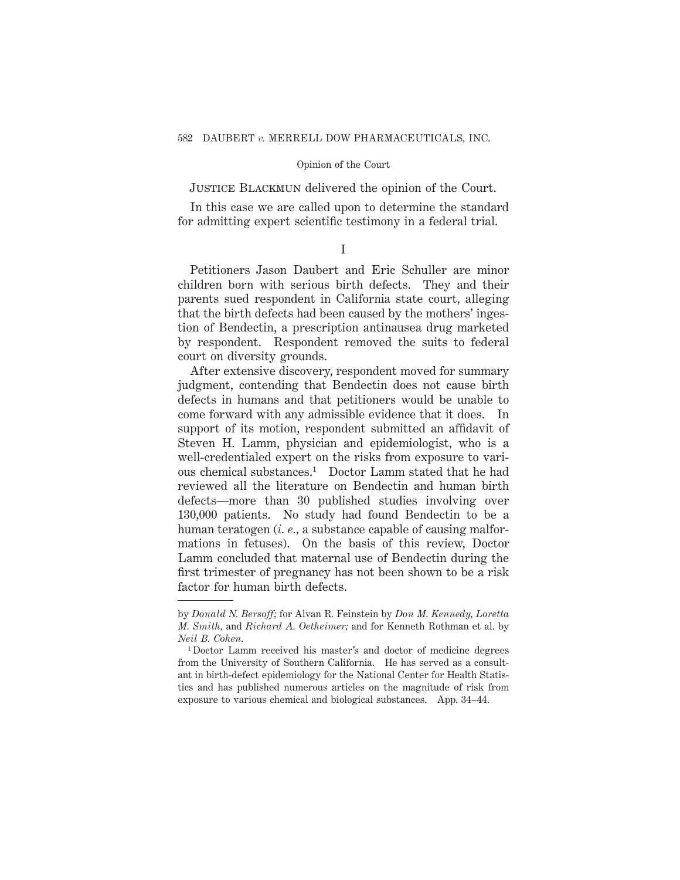JUSTICE BLACKMUN delivered the opinion of the Court.

In this case we are called upon to determine the standard for admitting expert scientific testimony in a federal trial.

I

Petitioners Jason Daubert and Eric Schuller are minor children born with serious birth defects. They and their parents sued respondent in California state court, alleging that the birth defects had been caused by the mothers' ingestion of Bendectin, a prescription antinausea drug marketed by respondent. Respondent removed the suits to federal court on diversity grounds.

After extensive discovery, respondent moved for summary judgment, contending that Bendectin does not cause birth defects in humans and that petitioners would be unable to come forward with any admissible evidence that it does. In support of its motion, respondent submitted an affidavit of Steven H. Lamm, physician and epidemiologist, who is a well-credentialed expert on the risks from exposure to various chemical substances.1 Doctor Lamm stated that he had reviewed all the literature on Bendectin and human birth defects—more than 30 published studies involving over 130,000 patients. No study had found Bendectin to be a human teratogen (*i. e.,* a substance capable of causing malformations in fetuses). On the basis of this review, Doctor Lamm concluded that maternal use of Bendectin during the first trimester of pregnancy has not been shown to be a risk factor for human birth defects.

by *Donald N. Bersoff;* for Alvan R. Feinstein by *Don M. Kennedy, Loretta M. Smith,* and *Richard A. Oetheimer;* and for Kenneth Rothman et al. by *Neil B. Cohen.*

<sup>1</sup> Doctor Lamm received his master's and doctor of medicine degrees from the University of Southern California. He has served as a consultant in birth-defect epidemiology for the National Center for Health Statistics and has published numerous articles on the magnitude of risk from exposure to various chemical and biological substances. App. 34–44.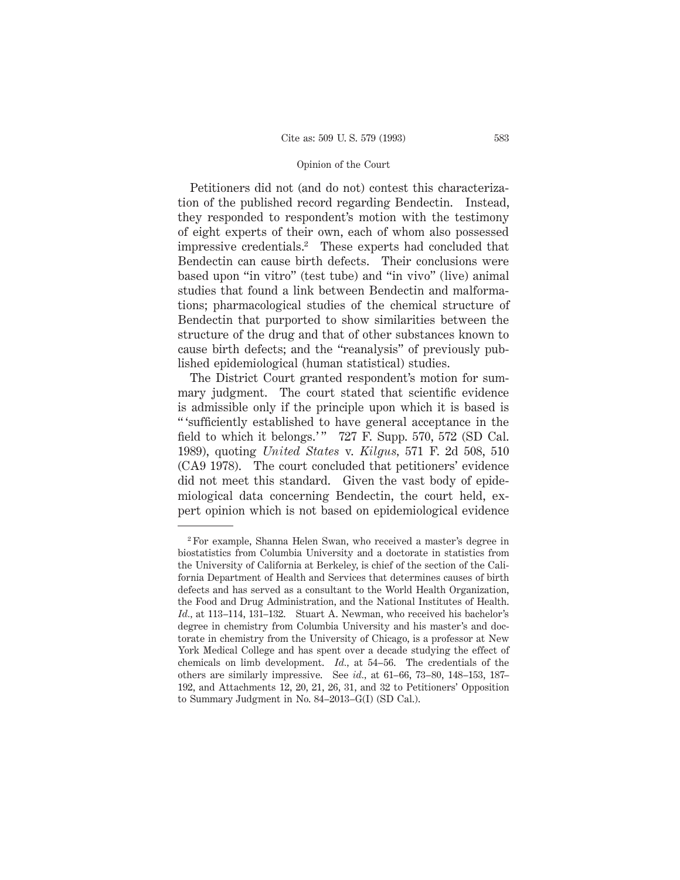Petitioners did not (and do not) contest this characterization of the published record regarding Bendectin. Instead, they responded to respondent's motion with the testimony of eight experts of their own, each of whom also possessed impressive credentials.2 These experts had concluded that Bendectin can cause birth defects. Their conclusions were based upon "in vitro" (test tube) and "in vivo" (live) animal studies that found a link between Bendectin and malformations; pharmacological studies of the chemical structure of Bendectin that purported to show similarities between the structure of the drug and that of other substances known to cause birth defects; and the "reanalysis" of previously published epidemiological (human statistical) studies.

The District Court granted respondent's motion for summary judgment. The court stated that scientific evidence is admissible only if the principle upon which it is based is " 'sufficiently established to have general acceptance in the field to which it belongs.'"  $727$  F. Supp. 570, 572 (SD Cal. 1989), quoting *United States* v. *Kilgus,* 571 F. 2d 508, 510 (CA9 1978). The court concluded that petitioners' evidence did not meet this standard. Given the vast body of epidemiological data concerning Bendectin, the court held, expert opinion which is not based on epidemiological evidence

<sup>2</sup> For example, Shanna Helen Swan, who received a master's degree in biostatistics from Columbia University and a doctorate in statistics from the University of California at Berkeley, is chief of the section of the California Department of Health and Services that determines causes of birth defects and has served as a consultant to the World Health Organization, the Food and Drug Administration, and the National Institutes of Health. *Id.,* at 113–114, 131–132. Stuart A. Newman, who received his bachelor's degree in chemistry from Columbia University and his master's and doctorate in chemistry from the University of Chicago, is a professor at New York Medical College and has spent over a decade studying the effect of chemicals on limb development. *Id.,* at 54–56. The credentials of the others are similarly impressive. See *id.,* at 61–66, 73–80, 148–153, 187– 192, and Attachments 12, 20, 21, 26, 31, and 32 to Petitioners' Opposition to Summary Judgment in No. 84–2013–G(I) (SD Cal.).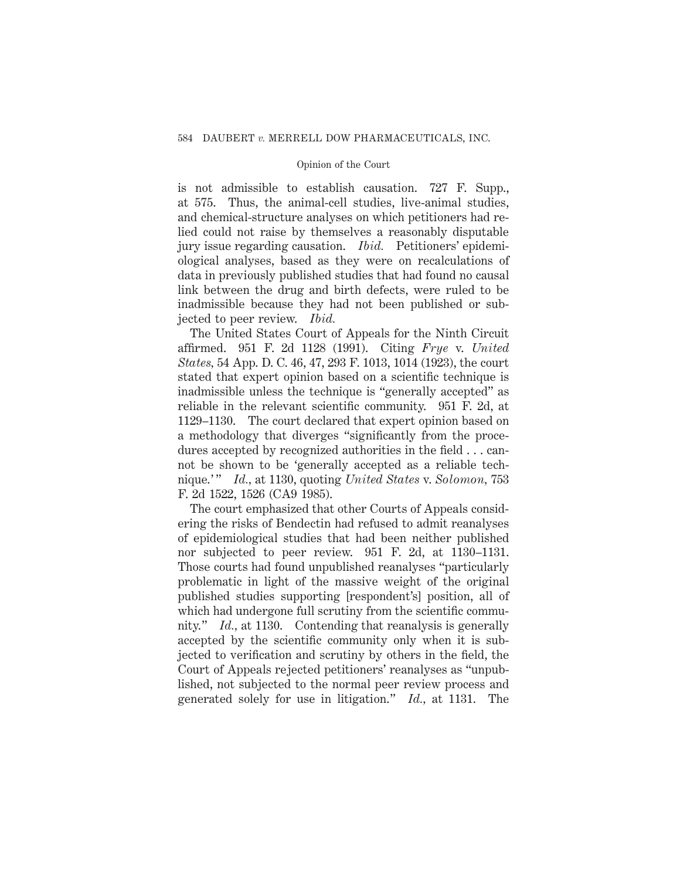is not admissible to establish causation. 727 F. Supp., at 575. Thus, the animal-cell studies, live-animal studies, and chemical-structure analyses on which petitioners had relied could not raise by themselves a reasonably disputable jury issue regarding causation. *Ibid.* Petitioners' epidemiological analyses, based as they were on recalculations of data in previously published studies that had found no causal link between the drug and birth defects, were ruled to be inadmissible because they had not been published or subjected to peer review. *Ibid.*

The United States Court of Appeals for the Ninth Circuit affirmed. 951 F. 2d 1128 (1991). Citing *Frye* v. *United States,* 54 App. D. C. 46, 47, 293 F. 1013, 1014 (1923), the court stated that expert opinion based on a scientific technique is inadmissible unless the technique is "generally accepted" as reliable in the relevant scientific community. 951 F. 2d, at 1129–1130. The court declared that expert opinion based on a methodology that diverges "significantly from the procedures accepted by recognized authorities in the field... cannot be shown to be 'generally accepted as a reliable technique.' " *Id.,* at 1130, quoting *United States* v. *Solomon,* 753 F. 2d 1522, 1526 (CA9 1985).

The court emphasized that other Courts of Appeals considering the risks of Bendectin had refused to admit reanalyses of epidemiological studies that had been neither published nor subjected to peer review. 951 F. 2d, at 1130–1131. Those courts had found unpublished reanalyses "particularly problematic in light of the massive weight of the original published studies supporting [respondent's] position, all of which had undergone full scrutiny from the scientific community." *Id.,* at 1130. Contending that reanalysis is generally accepted by the scientific community only when it is subjected to verification and scrutiny by others in the field, the Court of Appeals rejected petitioners' reanalyses as "unpublished, not subjected to the normal peer review process and generated solely for use in litigation." *Id.,* at 1131. The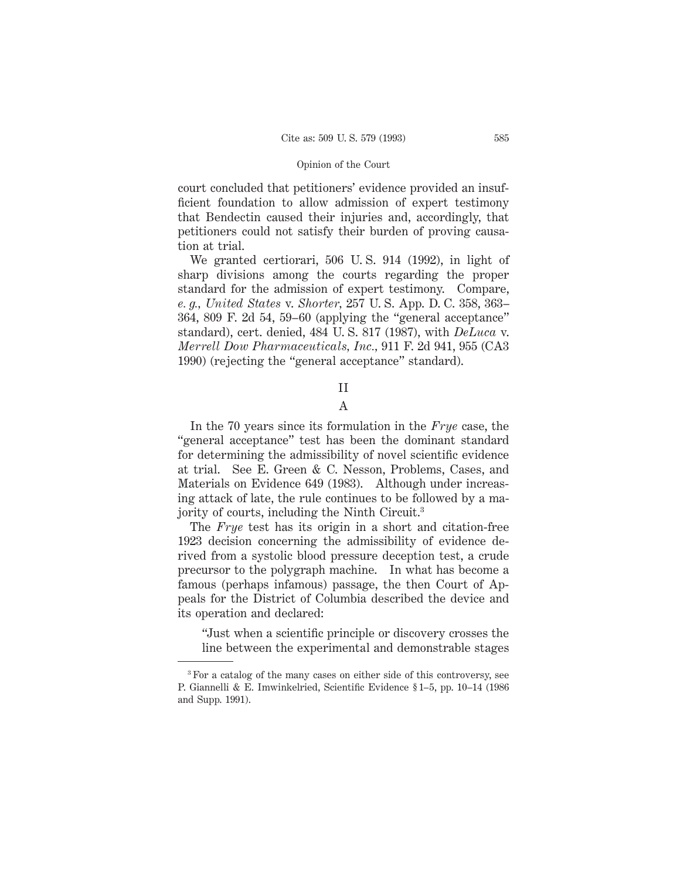court concluded that petitioners' evidence provided an insufficient foundation to allow admission of expert testimony that Bendectin caused their injuries and, accordingly, that petitioners could not satisfy their burden of proving causation at trial.

We granted certiorari, 506 U. S. 914 (1992), in light of sharp divisions among the courts regarding the proper standard for the admission of expert testimony. Compare, *e. g., United States* v. *Shorter,* 257 U. S. App. D. C. 358, 363– 364, 809 F. 2d 54, 59–60 (applying the "general acceptance" standard), cert. denied, 484 U. S. 817 (1987), with *DeLuca* v. *Merrell Dow Pharmaceuticals, Inc.,* 911 F. 2d 941, 955 (CA3 1990) (rejecting the "general acceptance" standard).

# II

## A

In the 70 years since its formulation in the *Frye* case, the "general acceptance" test has been the dominant standard for determining the admissibility of novel scientific evidence at trial. See E. Green & C. Nesson, Problems, Cases, and Materials on Evidence 649 (1983). Although under increasing attack of late, the rule continues to be followed by a majority of courts, including the Ninth Circuit.3

The *Frye* test has its origin in a short and citation-free 1923 decision concerning the admissibility of evidence derived from a systolic blood pressure deception test, a crude precursor to the polygraph machine. In what has become a famous (perhaps infamous) passage, the then Court of Appeals for the District of Columbia described the device and its operation and declared:

"Just when a scientific principle or discovery crosses the line between the experimental and demonstrable stages

<sup>3</sup> For a catalog of the many cases on either side of this controversy, see P. Giannelli & E. Imwinkelried, Scientific Evidence § 1–5, pp. 10–14 (1986 and Supp. 1991).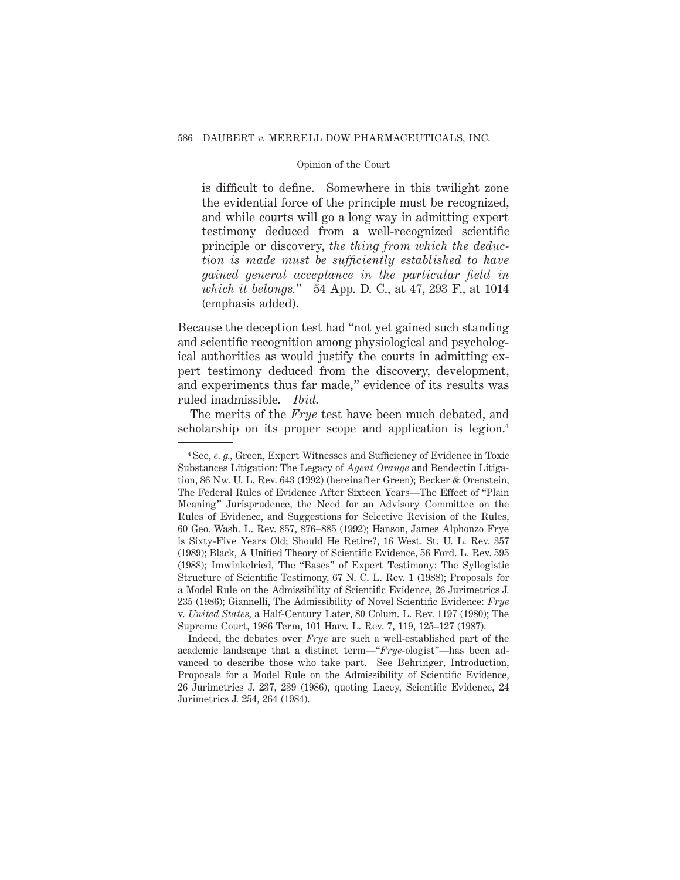is difficult to define. Somewhere in this twilight zone the evidential force of the principle must be recognized, and while courts will go a long way in admitting expert testimony deduced from a well-recognized scientific principle or discovery, *the thing from which the deduction is made must be sufficiently established to have gained general acceptance in the particular field in which it belongs.*" 54 App. D. C., at 47, 293 F., at 1014 (emphasis added).

Because the deception test had "not yet gained such standing and scientific recognition among physiological and psychological authorities as would justify the courts in admitting expert testimony deduced from the discovery, development, and experiments thus far made," evidence of its results was ruled inadmissible. *Ibid.*

The merits of the *Frye* test have been much debated, and scholarship on its proper scope and application is legion.<sup>4</sup>

<sup>4</sup> See, *e. g.,* Green, Expert Witnesses and Sufficiency of Evidence in Toxic Substances Litigation: The Legacy of *Agent Orange* and Bendectin Litigation, 86 Nw. U. L. Rev. 643 (1992) (hereinafter Green); Becker & Orenstein, The Federal Rules of Evidence After Sixteen Years—The Effect of "Plain Meaning" Jurisprudence, the Need for an Advisory Committee on the Rules of Evidence, and Suggestions for Selective Revision of the Rules, 60 Geo. Wash. L. Rev. 857, 876–885 (1992); Hanson, James Alphonzo Frye is Sixty-Five Years Old; Should He Retire?, 16 West. St. U. L. Rev. 357 (1989); Black, A Unified Theory of Scientific Evidence, 56 Ford. L. Rev. 595 (1988); Imwinkelried, The "Bases" of Expert Testimony: The Syllogistic Structure of Scientific Testimony, 67 N. C. L. Rev. 1 (1988); Proposals for a Model Rule on the Admissibility of Scientific Evidence, 26 Jurimetrics J. 235 (1986); Giannelli, The Admissibility of Novel Scientific Evidence: *Frye* v. *United States,* a Half-Century Later, 80 Colum. L. Rev. 1197 (1980); The Supreme Court, 1986 Term, 101 Harv. L. Rev. 7, 119, 125–127 (1987).

Indeed, the debates over *Frye* are such a well-established part of the academic landscape that a distinct term—"*Frye*-ologist"—has been advanced to describe those who take part. See Behringer, Introduction, Proposals for a Model Rule on the Admissibility of Scientific Evidence, 26 Jurimetrics J. 237, 239 (1986), quoting Lacey, Scientific Evidence, 24 Jurimetrics J. 254, 264 (1984).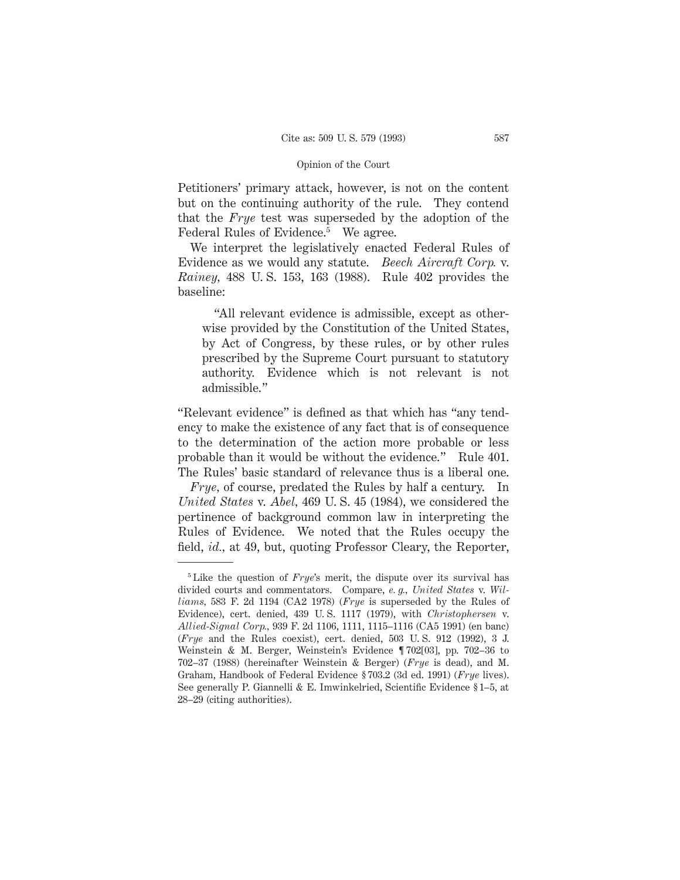Petitioners' primary attack, however, is not on the content but on the continuing authority of the rule. They contend that the *Frye* test was superseded by the adoption of the Federal Rules of Evidence.<sup>5</sup> We agree.

We interpret the legislatively enacted Federal Rules of Evidence as we would any statute. *Beech Aircraft Corp.* v. *Rainey,* 488 U. S. 153, 163 (1988). Rule 402 provides the baseline:

"All relevant evidence is admissible, except as otherwise provided by the Constitution of the United States, by Act of Congress, by these rules, or by other rules prescribed by the Supreme Court pursuant to statutory authority. Evidence which is not relevant is not admissible."

"Relevant evidence" is defined as that which has "any tendency to make the existence of any fact that is of consequence to the determination of the action more probable or less probable than it would be without the evidence." Rule 401. The Rules' basic standard of relevance thus is a liberal one.

*Frye,* of course, predated the Rules by half a century. In *United States* v. *Abel,* 469 U. S. 45 (1984), we considered the pertinence of background common law in interpreting the Rules of Evidence. We noted that the Rules occupy the field, *id.,* at 49, but, quoting Professor Cleary, the Reporter,

<sup>&</sup>lt;sup>5</sup> Like the question of *Frye*'s merit, the dispute over its survival has divided courts and commentators. Compare, *e. g., United States* v. *Williams,* 583 F. 2d 1194 (CA2 1978) (*Frye* is superseded by the Rules of Evidence), cert. denied, 439 U. S. 1117 (1979), with *Christophersen* v. *Allied-Signal Corp.,* 939 F. 2d 1106, 1111, 1115–1116 (CA5 1991) (en banc) (*Frye* and the Rules coexist), cert. denied, 503 U. S. 912 (1992), 3 J. Weinstein & M. Berger, Weinstein's Evidence ¶ 702[03], pp. 702–36 to 702–37 (1988) (hereinafter Weinstein & Berger) (*Frye* is dead), and M. Graham, Handbook of Federal Evidence § 703.2 (3d ed. 1991) (*Frye* lives). See generally P. Giannelli & E. Imwinkelried, Scientific Evidence § 1–5, at 28–29 (citing authorities).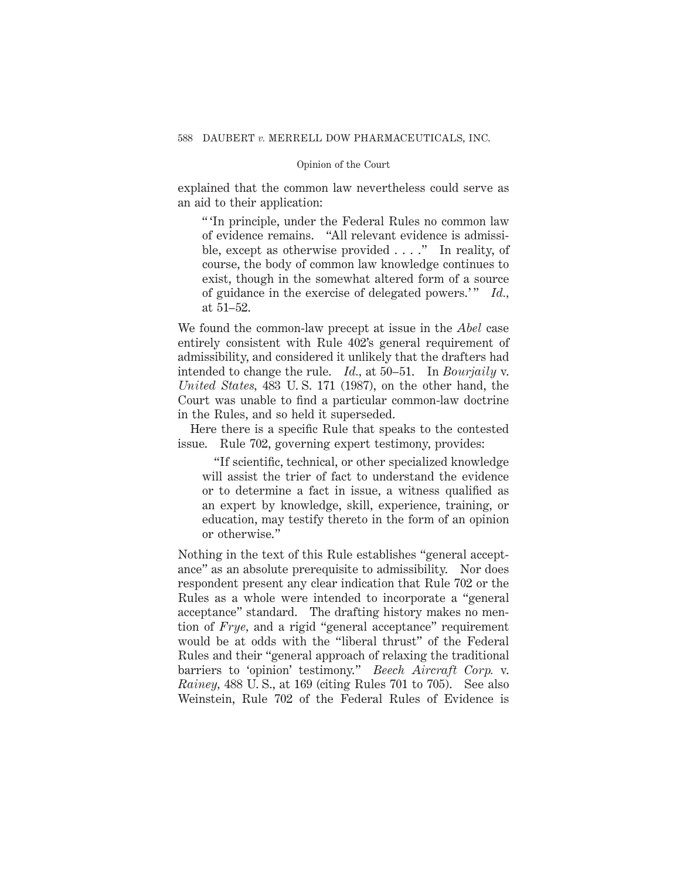explained that the common law nevertheless could serve as an aid to their application:

" 'In principle, under the Federal Rules no common law of evidence remains. "All relevant evidence is admissible, except as otherwise provided . . . ." In reality, of course, the body of common law knowledge continues to exist, though in the somewhat altered form of a source of guidance in the exercise of delegated powers.'" *Id.*, at 51–52.

We found the common-law precept at issue in the *Abel* case entirely consistent with Rule 402's general requirement of admissibility, and considered it unlikely that the drafters had intended to change the rule. *Id.,* at 50–51. In *Bourjaily* v. *United States,* 483 U. S. 171 (1987), on the other hand, the Court was unable to find a particular common-law doctrine in the Rules, and so held it superseded.

Here there is a specific Rule that speaks to the contested issue. Rule 702, governing expert testimony, provides:

"If scientific, technical, or other specialized knowledge will assist the trier of fact to understand the evidence or to determine a fact in issue, a witness qualified as an expert by knowledge, skill, experience, training, or education, may testify thereto in the form of an opinion or otherwise."

Nothing in the text of this Rule establishes "general acceptance" as an absolute prerequisite to admissibility. Nor does respondent present any clear indication that Rule 702 or the Rules as a whole were intended to incorporate a "general acceptance" standard. The drafting history makes no mention of *Frye,* and a rigid "general acceptance" requirement would be at odds with the "liberal thrust" of the Federal Rules and their "general approach of relaxing the traditional barriers to 'opinion' testimony." *Beech Aircraft Corp.* v. *Rainey,* 488 U. S., at 169 (citing Rules 701 to 705). See also Weinstein, Rule 702 of the Federal Rules of Evidence is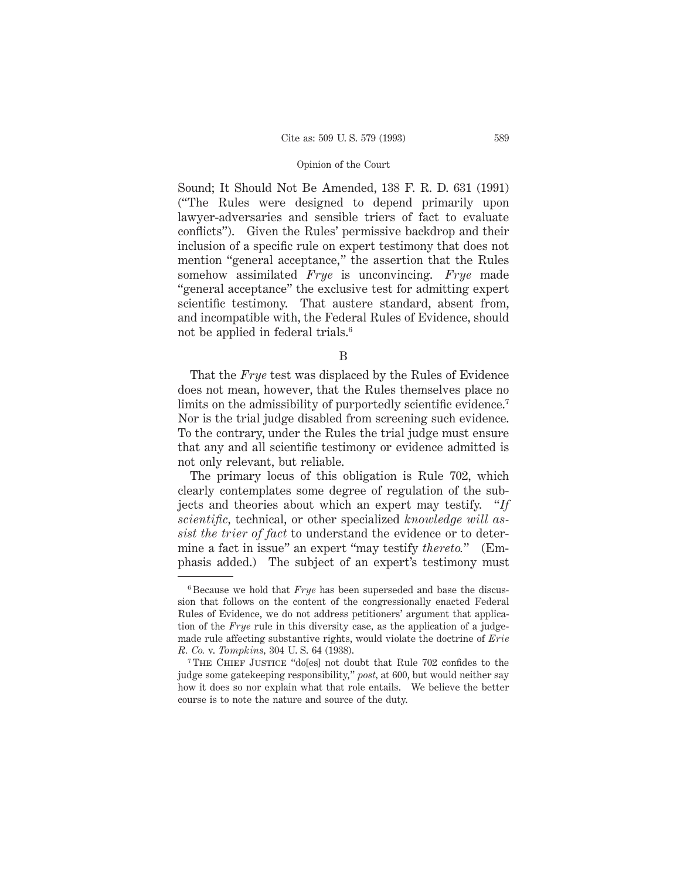Sound; It Should Not Be Amended, 138 F. R. D. 631 (1991) ("The Rules were designed to depend primarily upon lawyer-adversaries and sensible triers of fact to evaluate conflicts"). Given the Rules' permissive backdrop and their inclusion of a specific rule on expert testimony that does not mention "general acceptance," the assertion that the Rules somehow assimilated *Frye* is unconvincing. *Frye* made "general acceptance" the exclusive test for admitting expert scientific testimony. That austere standard, absent from, and incompatible with, the Federal Rules of Evidence, should not be applied in federal trials.<sup>6</sup>

B

That the *Frye* test was displaced by the Rules of Evidence does not mean, however, that the Rules themselves place no limits on the admissibility of purportedly scientific evidence.<sup>7</sup> Nor is the trial judge disabled from screening such evidence. To the contrary, under the Rules the trial judge must ensure that any and all scientific testimony or evidence admitted is not only relevant, but reliable.

The primary locus of this obligation is Rule 702, which clearly contemplates some degree of regulation of the subjects and theories about which an expert may testify. "*If scientific,* technical, or other specialized *knowledge will assist the trier of fact* to understand the evidence or to determine a fact in issue" an expert "may testify *thereto.*" (Emphasis added.) The subject of an expert's testimony must

<sup>6</sup> Because we hold that *Frye* has been superseded and base the discussion that follows on the content of the congressionally enacted Federal Rules of Evidence, we do not address petitioners' argument that application of the *Frye* rule in this diversity case, as the application of a judgemade rule affecting substantive rights, would violate the doctrine of *Erie R. Co.* v. *Tompkins,* 304 U. S. 64 (1938).

<sup>&</sup>lt;sup>7</sup> THE CHIEF JUSTICE "do[es] not doubt that Rule 702 confides to the judge some gatekeeping responsibility," *post,* at 600, but would neither say how it does so nor explain what that role entails. We believe the better course is to note the nature and source of the duty.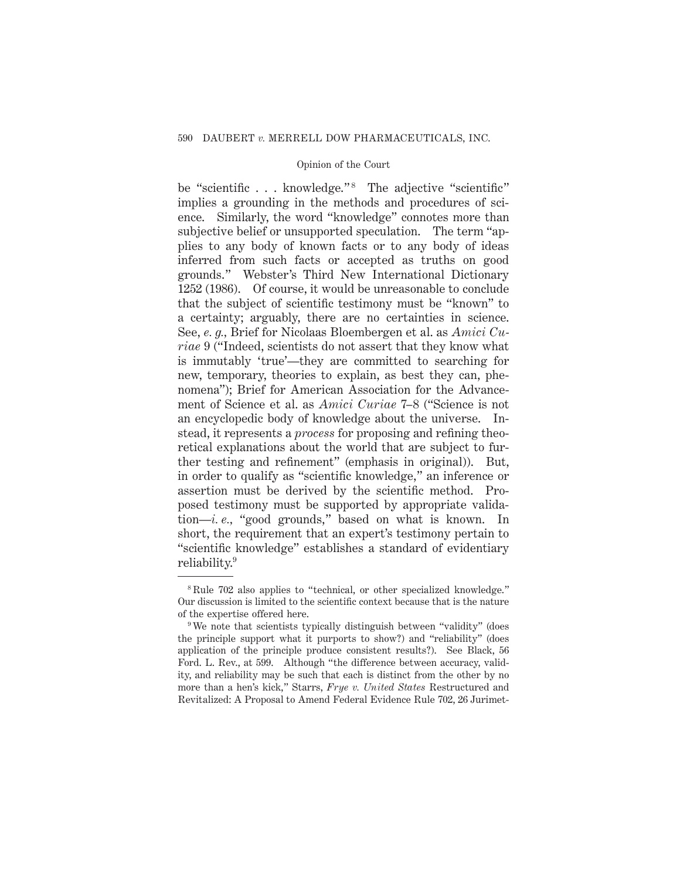be "scientific . . . knowledge."<sup>8</sup> The adjective "scientific" implies a grounding in the methods and procedures of science. Similarly, the word "knowledge" connotes more than subjective belief or unsupported speculation. The term "applies to any body of known facts or to any body of ideas inferred from such facts or accepted as truths on good grounds." Webster's Third New International Dictionary 1252 (1986). Of course, it would be unreasonable to conclude that the subject of scientific testimony must be "known" to a certainty; arguably, there are no certainties in science. See, *e. g.,* Brief for Nicolaas Bloembergen et al. as *Amici Curiae* 9 ("Indeed, scientists do not assert that they know what is immutably 'true'—they are committed to searching for new, temporary, theories to explain, as best they can, phenomena"); Brief for American Association for the Advancement of Science et al. as *Amici Curiae* 7–8 ("Science is not an encyclopedic body of knowledge about the universe. Instead, it represents a *process* for proposing and refining theoretical explanations about the world that are subject to further testing and refinement" (emphasis in original)). But, in order to qualify as "scientific knowledge," an inference or assertion must be derived by the scientific method. Proposed testimony must be supported by appropriate validation—*i. e.,* "good grounds," based on what is known. In short, the requirement that an expert's testimony pertain to "scientific knowledge" establishes a standard of evidentiary reliability.9

<sup>&</sup>lt;sup>8</sup> Rule 702 also applies to "technical, or other specialized knowledge." Our discussion is limited to the scientific context because that is the nature of the expertise offered here.

<sup>9</sup> We note that scientists typically distinguish between "validity" (does the principle support what it purports to show?) and "reliability" (does application of the principle produce consistent results?). See Black, 56 Ford. L. Rev., at 599. Although "the difference between accuracy, validity, and reliability may be such that each is distinct from the other by no more than a hen's kick," Starrs, *Frye v. United States* Restructured and Revitalized: A Proposal to Amend Federal Evidence Rule 702, 26 Jurimet-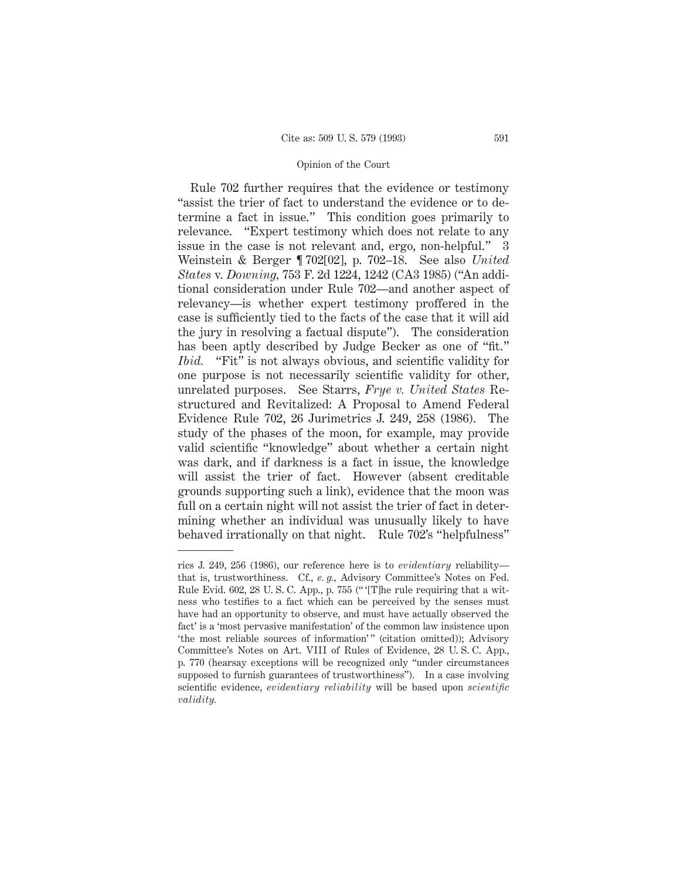Rule 702 further requires that the evidence or testimony "assist the trier of fact to understand the evidence or to determine a fact in issue." This condition goes primarily to relevance. "Expert testimony which does not relate to any issue in the case is not relevant and, ergo, non-helpful." 3 Weinstein & Berger ¶ 702[02], p. 702–18. See also *United States* v. *Downing,* 753 F. 2d 1224, 1242 (CA3 1985) ("An additional consideration under Rule 702—and another aspect of relevancy—is whether expert testimony proffered in the case is sufficiently tied to the facts of the case that it will aid the jury in resolving a factual dispute"). The consideration has been aptly described by Judge Becker as one of "fit." *Ibid.* "Fit" is not always obvious, and scientific validity for one purpose is not necessarily scientific validity for other, unrelated purposes. See Starrs, *Frye v. United States* Restructured and Revitalized: A Proposal to Amend Federal Evidence Rule 702, 26 Jurimetrics J. 249, 258 (1986). The study of the phases of the moon, for example, may provide valid scientific "knowledge" about whether a certain night was dark, and if darkness is a fact in issue, the knowledge will assist the trier of fact. However (absent creditable grounds supporting such a link), evidence that the moon was full on a certain night will not assist the trier of fact in determining whether an individual was unusually likely to have behaved irrationally on that night. Rule 702's "helpfulness"

rics J. 249, 256 (1986), our reference here is to *evidentiary* reliability that is, trustworthiness. Cf., *e. g.,* Advisory Committee's Notes on Fed. Rule Evid. 602, 28 U. S. C. App., p. 755 (" '[T]he rule requiring that a witness who testifies to a fact which can be perceived by the senses must have had an opportunity to observe, and must have actually observed the fact' is a 'most pervasive manifestation' of the common law insistence upon 'the most reliable sources of information'" (citation omitted)); Advisory Committee's Notes on Art. VIII of Rules of Evidence, 28 U. S. C. App., p. 770 (hearsay exceptions will be recognized only "under circumstances supposed to furnish guarantees of trustworthiness"). In a case involving scientific evidence, *evidentiary reliability* will be based upon *scientific validity.*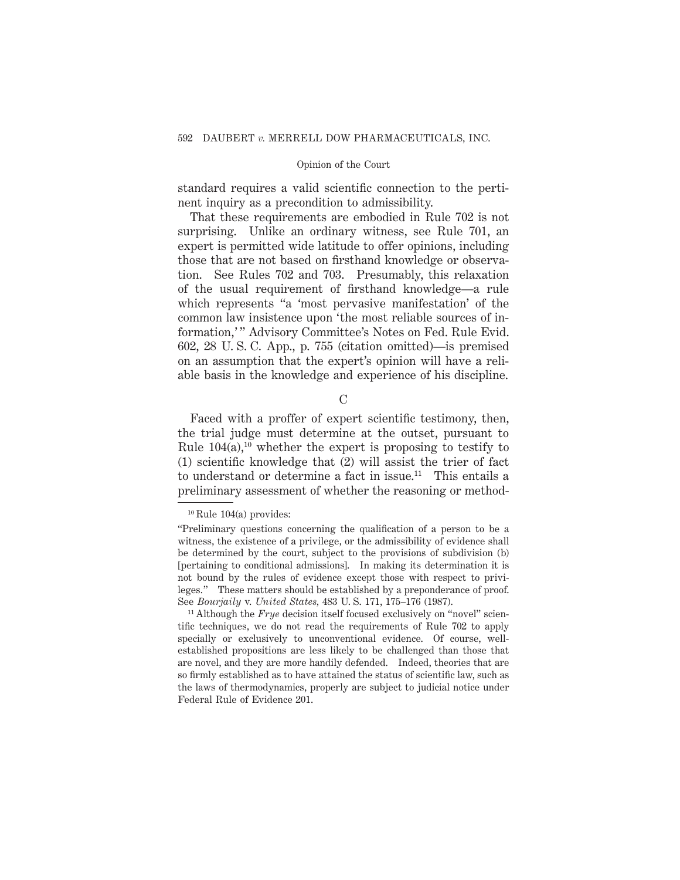standard requires a valid scientific connection to the pertinent inquiry as a precondition to admissibility.

That these requirements are embodied in Rule 702 is not surprising. Unlike an ordinary witness, see Rule 701, an expert is permitted wide latitude to offer opinions, including those that are not based on firsthand knowledge or observation. See Rules 702 and 703. Presumably, this relaxation of the usual requirement of firsthand knowledge—a rule which represents "a 'most pervasive manifestation' of the common law insistence upon 'the most reliable sources of information,'" Advisory Committee's Notes on Fed. Rule Evid. 602, 28 U. S. C. App., p. 755 (citation omitted)—is premised on an assumption that the expert's opinion will have a reliable basis in the knowledge and experience of his discipline.

 $\mathcal{C}$ 

Faced with a proffer of expert scientific testimony, then, the trial judge must determine at the outset, pursuant to Rule  $104(a)$ ,<sup>10</sup> whether the expert is proposing to testify to (1) scientific knowledge that (2) will assist the trier of fact to understand or determine a fact in issue.<sup>11</sup> This entails a preliminary assessment of whether the reasoning or method-

 $10$  Rule 104(a) provides:

<sup>&</sup>quot;Preliminary questions concerning the qualification of a person to be a witness, the existence of a privilege, or the admissibility of evidence shall be determined by the court, subject to the provisions of subdivision (b) [pertaining to conditional admissions]. In making its determination it is not bound by the rules of evidence except those with respect to privileges." These matters should be established by a preponderance of proof. See *Bourjaily* v. *United States,* 483 U. S. 171, 175–176 (1987).

<sup>&</sup>lt;sup>11</sup> Although the *Frye* decision itself focused exclusively on "novel" scientific techniques, we do not read the requirements of Rule 702 to apply specially or exclusively to unconventional evidence. Of course, wellestablished propositions are less likely to be challenged than those that are novel, and they are more handily defended. Indeed, theories that are so firmly established as to have attained the status of scientific law, such as the laws of thermodynamics, properly are subject to judicial notice under Federal Rule of Evidence 201.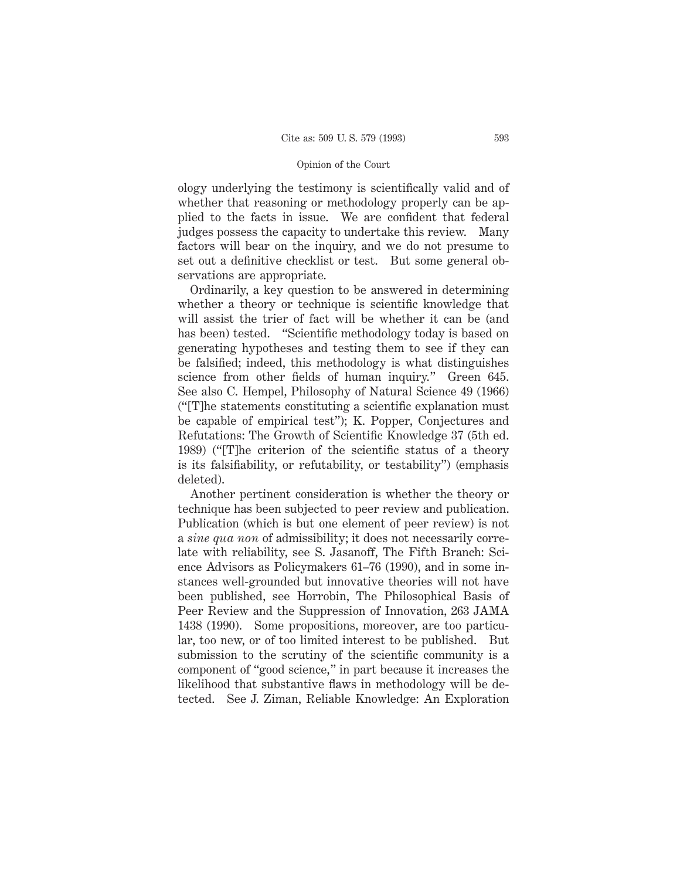ology underlying the testimony is scientifically valid and of whether that reasoning or methodology properly can be applied to the facts in issue. We are confident that federal judges possess the capacity to undertake this review. Many factors will bear on the inquiry, and we do not presume to set out a definitive checklist or test. But some general observations are appropriate.

Ordinarily, a key question to be answered in determining whether a theory or technique is scientific knowledge that will assist the trier of fact will be whether it can be (and has been) tested. "Scientific methodology today is based on generating hypotheses and testing them to see if they can be falsified; indeed, this methodology is what distinguishes science from other fields of human inquiry." Green 645. See also C. Hempel, Philosophy of Natural Science 49 (1966) ("[T]he statements constituting a scientific explanation must be capable of empirical test"); K. Popper, Conjectures and Refutations: The Growth of Scientific Knowledge 37 (5th ed. 1989) ("[T]he criterion of the scientific status of a theory is its falsifiability, or refutability, or testability") (emphasis deleted).

Another pertinent consideration is whether the theory or technique has been subjected to peer review and publication. Publication (which is but one element of peer review) is not a *sine qua non* of admissibility; it does not necessarily correlate with reliability, see S. Jasanoff, The Fifth Branch: Science Advisors as Policymakers 61–76 (1990), and in some instances well-grounded but innovative theories will not have been published, see Horrobin, The Philosophical Basis of Peer Review and the Suppression of Innovation, 263 JAMA 1438 (1990). Some propositions, moreover, are too particular, too new, or of too limited interest to be published. But submission to the scrutiny of the scientific community is a component of "good science," in part because it increases the likelihood that substantive flaws in methodology will be detected. See J. Ziman, Reliable Knowledge: An Exploration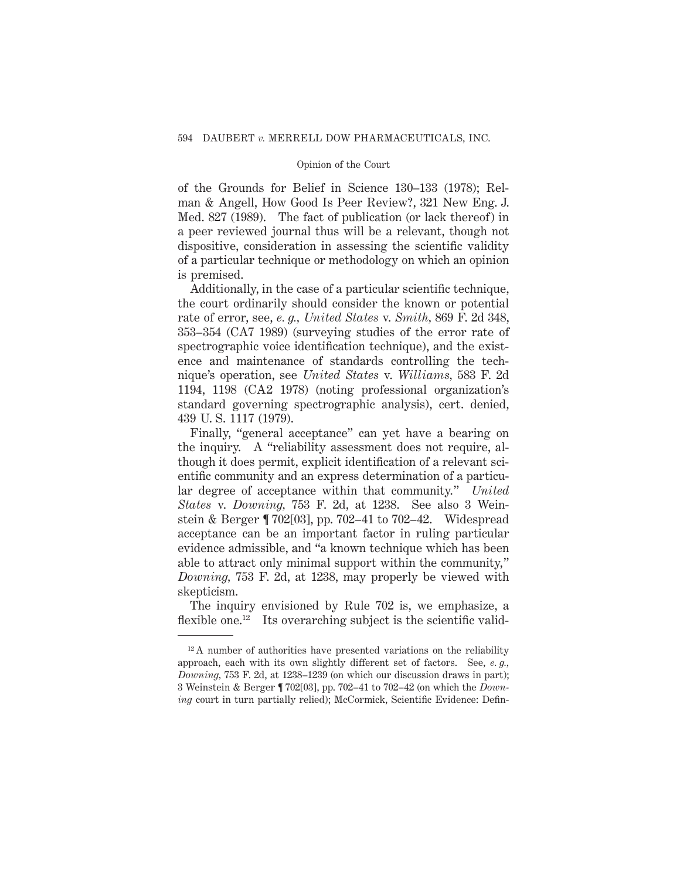of the Grounds for Belief in Science 130–133 (1978); Relman & Angell, How Good Is Peer Review?, 321 New Eng. J. Med. 827 (1989). The fact of publication (or lack thereof) in a peer reviewed journal thus will be a relevant, though not dispositive, consideration in assessing the scientific validity of a particular technique or methodology on which an opinion is premised.

Additionally, in the case of a particular scientific technique, the court ordinarily should consider the known or potential rate of error, see, *e. g., United States* v. *Smith,* 869 F. 2d 348, 353–354 (CA7 1989) (surveying studies of the error rate of spectrographic voice identification technique), and the existence and maintenance of standards controlling the technique's operation, see *United States* v. *Williams,* 583 F. 2d 1194, 1198 (CA2 1978) (noting professional organization's standard governing spectrographic analysis), cert. denied, 439 U. S. 1117 (1979).

Finally, "general acceptance" can yet have a bearing on the inquiry. A "reliability assessment does not require, although it does permit, explicit identification of a relevant scientific community and an express determination of a particular degree of acceptance within that community." *United States* v. *Downing,* 753 F. 2d, at 1238. See also 3 Weinstein & Berger ¶ 702[03], pp. 702–41 to 702–42. Widespread acceptance can be an important factor in ruling particular evidence admissible, and "a known technique which has been able to attract only minimal support within the community," *Downing,* 753 F. 2d, at 1238, may properly be viewed with skepticism.

The inquiry envisioned by Rule 702 is, we emphasize, a flexible one.<sup>12</sup> Its overarching subject is the scientific valid-

 $12$  A number of authorities have presented variations on the reliability approach, each with its own slightly different set of factors. See, *e. g., Downing,* 753 F. 2d, at 1238–1239 (on which our discussion draws in part); 3 Weinstein & Berger ¶ 702[03], pp. 702–41 to 702–42 (on which the *Downing* court in turn partially relied); McCormick, Scientific Evidence: Defin-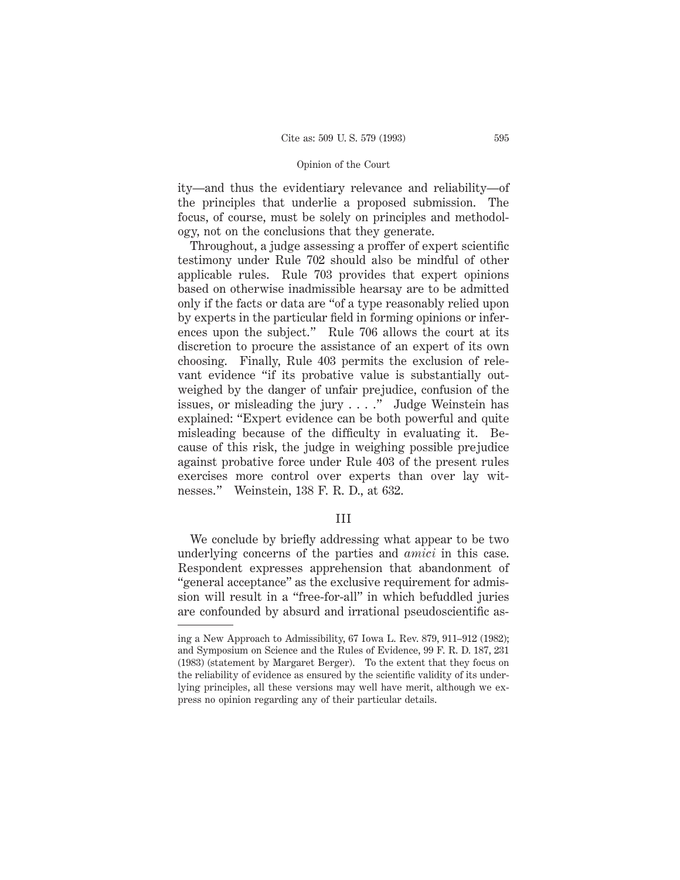ity—and thus the evidentiary relevance and reliability—of the principles that underlie a proposed submission. The focus, of course, must be solely on principles and methodology, not on the conclusions that they generate.

Throughout, a judge assessing a proffer of expert scientific testimony under Rule 702 should also be mindful of other applicable rules. Rule 703 provides that expert opinions based on otherwise inadmissible hearsay are to be admitted only if the facts or data are "of a type reasonably relied upon by experts in the particular field in forming opinions or inferences upon the subject." Rule 706 allows the court at its discretion to procure the assistance of an expert of its own choosing. Finally, Rule 403 permits the exclusion of relevant evidence "if its probative value is substantially outweighed by the danger of unfair prejudice, confusion of the issues, or misleading the jury . . . ." Judge Weinstein has explained: "Expert evidence can be both powerful and quite misleading because of the difficulty in evaluating it. Because of this risk, the judge in weighing possible prejudice against probative force under Rule 403 of the present rules exercises more control over experts than over lay witnesses." Weinstein, 138 F. R. D., at 632.

### III

We conclude by briefly addressing what appear to be two underlying concerns of the parties and *amici* in this case. Respondent expresses apprehension that abandonment of "general acceptance" as the exclusive requirement for admission will result in a "free-for-all" in which befuddled juries are confounded by absurd and irrational pseudoscientific as-

ing a New Approach to Admissibility, 67 Iowa L. Rev. 879, 911–912 (1982); and Symposium on Science and the Rules of Evidence, 99 F. R. D. 187, 231 (1983) (statement by Margaret Berger). To the extent that they focus on the reliability of evidence as ensured by the scientific validity of its underlying principles, all these versions may well have merit, although we express no opinion regarding any of their particular details.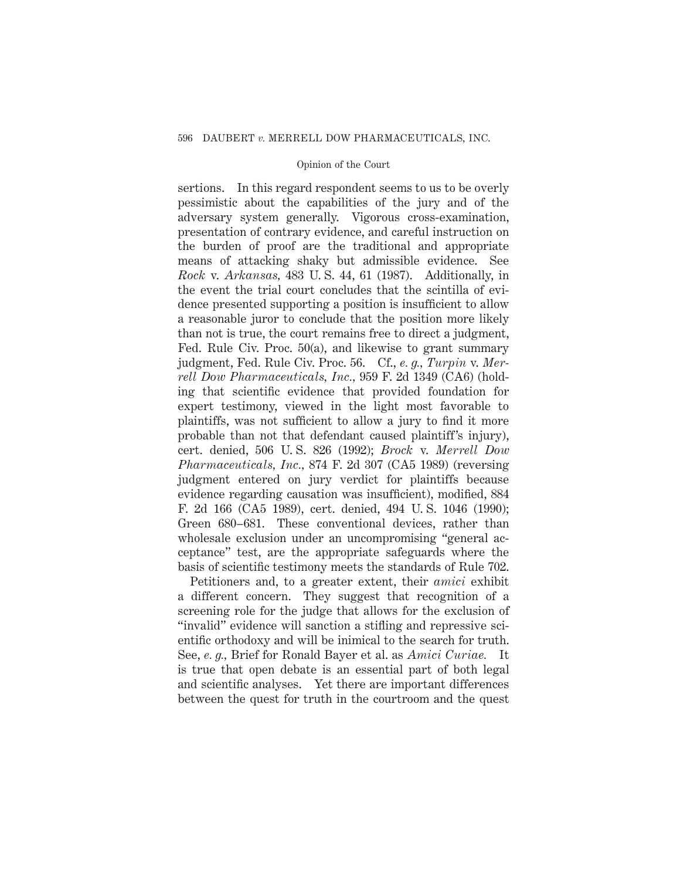sertions. In this regard respondent seems to us to be overly pessimistic about the capabilities of the jury and of the adversary system generally. Vigorous cross-examination, presentation of contrary evidence, and careful instruction on the burden of proof are the traditional and appropriate means of attacking shaky but admissible evidence. See *Rock* v. *Arkansas,* 483 U. S. 44, 61 (1987). Additionally, in the event the trial court concludes that the scintilla of evidence presented supporting a position is insufficient to allow a reasonable juror to conclude that the position more likely than not is true, the court remains free to direct a judgment, Fed. Rule Civ. Proc. 50(a), and likewise to grant summary judgment, Fed. Rule Civ. Proc. 56. Cf., *e. g., Turpin* v. *Merrell Dow Pharmaceuticals, Inc.,* 959 F. 2d 1349 (CA6) (holding that scientific evidence that provided foundation for expert testimony, viewed in the light most favorable to plaintiffs, was not sufficient to allow a jury to find it more probable than not that defendant caused plaintiff's injury), cert. denied, 506 U. S. 826 (1992); *Brock* v. *Merrell Dow Pharmaceuticals, Inc.,* 874 F. 2d 307 (CA5 1989) (reversing judgment entered on jury verdict for plaintiffs because evidence regarding causation was insufficient), modified, 884 F. 2d 166 (CA5 1989), cert. denied, 494 U. S. 1046 (1990); Green 680–681. These conventional devices, rather than wholesale exclusion under an uncompromising "general acceptance" test, are the appropriate safeguards where the basis of scientific testimony meets the standards of Rule 702.

Petitioners and, to a greater extent, their *amici* exhibit a different concern. They suggest that recognition of a screening role for the judge that allows for the exclusion of "invalid" evidence will sanction a stifling and repressive scientific orthodoxy and will be inimical to the search for truth. See, *e. g.,* Brief for Ronald Bayer et al. as *Amici Curiae.* It is true that open debate is an essential part of both legal and scientific analyses. Yet there are important differences between the quest for truth in the courtroom and the quest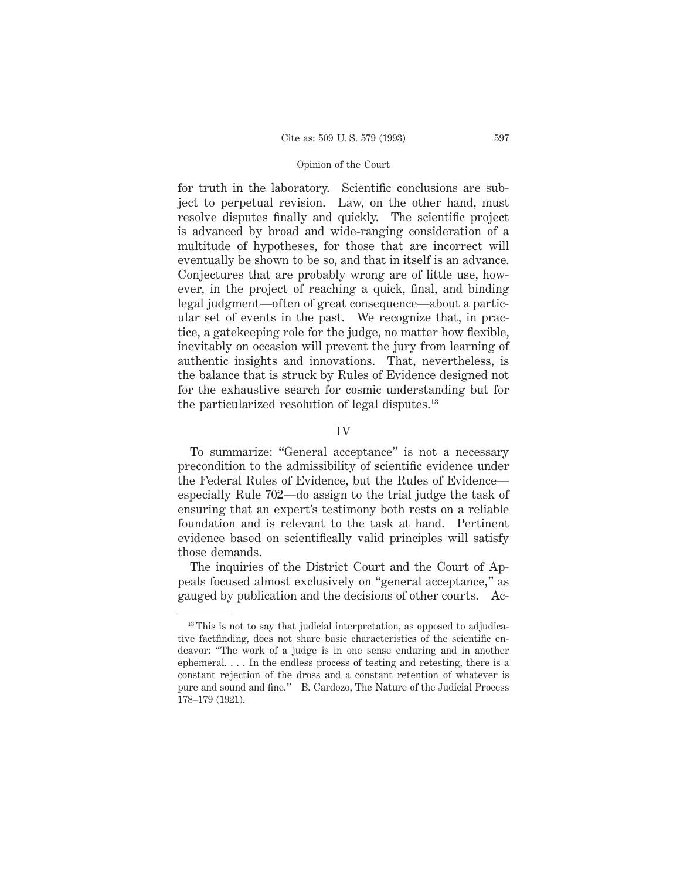for truth in the laboratory. Scientific conclusions are subject to perpetual revision. Law, on the other hand, must resolve disputes finally and quickly. The scientific project is advanced by broad and wide-ranging consideration of a multitude of hypotheses, for those that are incorrect will eventually be shown to be so, and that in itself is an advance. Conjectures that are probably wrong are of little use, however, in the project of reaching a quick, final, and binding legal judgment—often of great consequence—about a particular set of events in the past. We recognize that, in practice, a gatekeeping role for the judge, no matter how flexible, inevitably on occasion will prevent the jury from learning of authentic insights and innovations. That, nevertheless, is the balance that is struck by Rules of Evidence designed not for the exhaustive search for cosmic understanding but for the particularized resolution of legal disputes.<sup>13</sup>

## IV

To summarize: "General acceptance" is not a necessary precondition to the admissibility of scientific evidence under the Federal Rules of Evidence, but the Rules of Evidence especially Rule 702—do assign to the trial judge the task of ensuring that an expert's testimony both rests on a reliable foundation and is relevant to the task at hand. Pertinent evidence based on scientifically valid principles will satisfy those demands.

The inquiries of the District Court and the Court of Appeals focused almost exclusively on "general acceptance," as gauged by publication and the decisions of other courts. Ac-

 $13$  This is not to say that judicial interpretation, as opposed to adjudicative factfinding, does not share basic characteristics of the scientific endeavor: "The work of a judge is in one sense enduring and in another ephemeral. . . . In the endless process of testing and retesting, there is a constant rejection of the dross and a constant retention of whatever is pure and sound and fine." B. Cardozo, The Nature of the Judicial Process 178–179 (1921).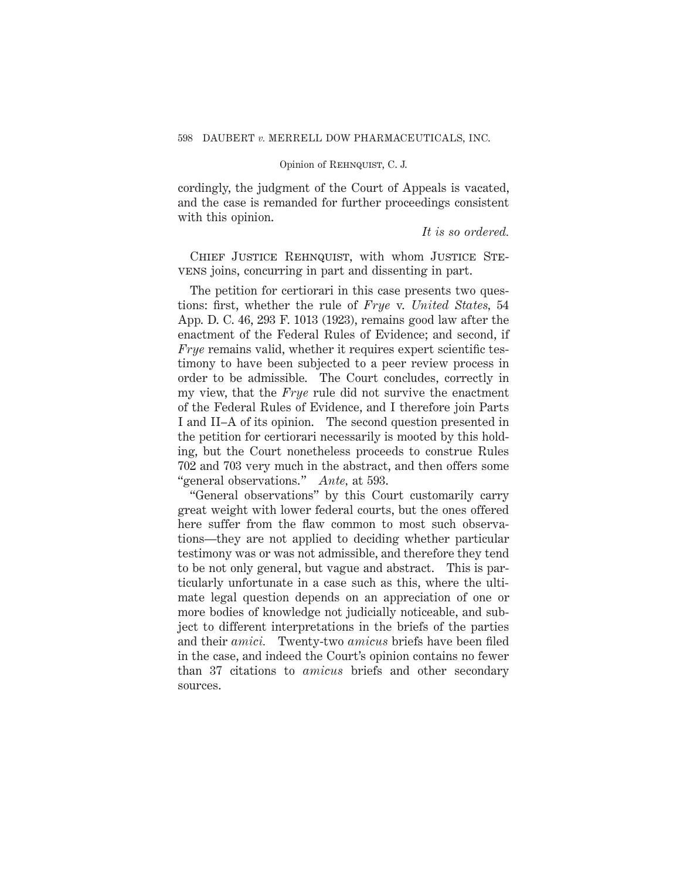cordingly, the judgment of the Court of Appeals is vacated, and the case is remanded for further proceedings consistent with this opinion.

## *It is so ordered.*

CHIEF JUSTICE REHNQUIST, with whom JUSTICE STEvens joins, concurring in part and dissenting in part.

The petition for certiorari in this case presents two questions: first, whether the rule of *Frye* v. *United States,* 54 App. D. C. 46, 293 F. 1013 (1923), remains good law after the enactment of the Federal Rules of Evidence; and second, if *Frye* remains valid, whether it requires expert scientific testimony to have been subjected to a peer review process in order to be admissible. The Court concludes, correctly in my view, that the *Frye* rule did not survive the enactment of the Federal Rules of Evidence, and I therefore join Parts I and II–A of its opinion. The second question presented in the petition for certiorari necessarily is mooted by this holding, but the Court nonetheless proceeds to construe Rules 702 and 703 very much in the abstract, and then offers some "general observations." *Ante,* at 593.

"General observations" by this Court customarily carry great weight with lower federal courts, but the ones offered here suffer from the flaw common to most such observations—they are not applied to deciding whether particular testimony was or was not admissible, and therefore they tend to be not only general, but vague and abstract. This is particularly unfortunate in a case such as this, where the ultimate legal question depends on an appreciation of one or more bodies of knowledge not judicially noticeable, and subject to different interpretations in the briefs of the parties and their *amici.* Twenty-two *amicus* briefs have been filed in the case, and indeed the Court's opinion contains no fewer than 37 citations to *amicus* briefs and other secondary sources.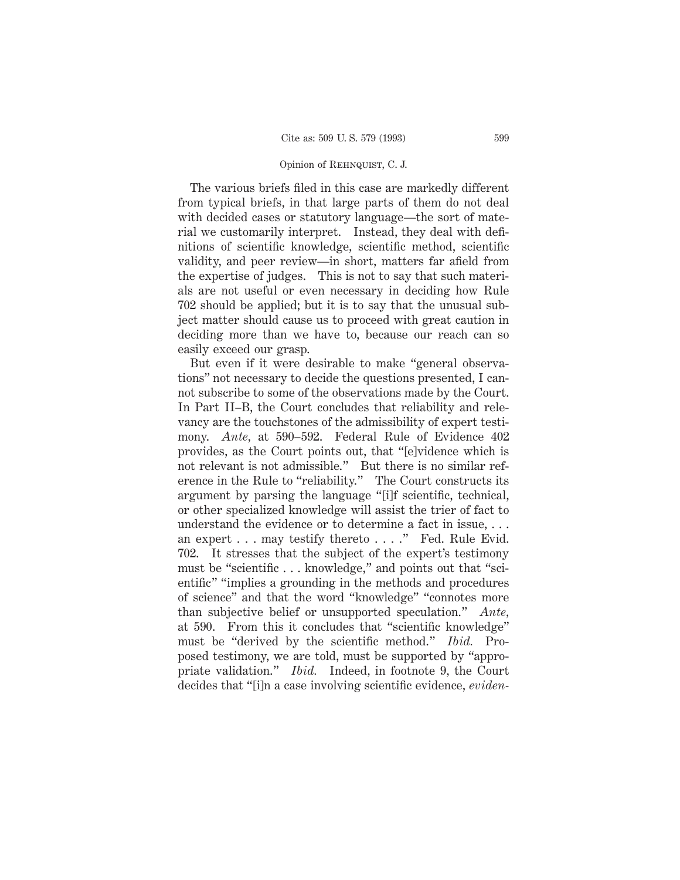The various briefs filed in this case are markedly different from typical briefs, in that large parts of them do not deal with decided cases or statutory language—the sort of material we customarily interpret. Instead, they deal with definitions of scientific knowledge, scientific method, scientific validity, and peer review—in short, matters far afield from the expertise of judges. This is not to say that such materials are not useful or even necessary in deciding how Rule 702 should be applied; but it is to say that the unusual subject matter should cause us to proceed with great caution in deciding more than we have to, because our reach can so easily exceed our grasp.

But even if it were desirable to make "general observations" not necessary to decide the questions presented, I cannot subscribe to some of the observations made by the Court. In Part II–B, the Court concludes that reliability and relevancy are the touchstones of the admissibility of expert testimony. *Ante,* at 590–592. Federal Rule of Evidence 402 provides, as the Court points out, that "[e]vidence which is not relevant is not admissible." But there is no similar reference in the Rule to "reliability." The Court constructs its argument by parsing the language "[i]f scientific, technical, or other specialized knowledge will assist the trier of fact to understand the evidence or to determine a fact in issue, . . . an expert . . . may testify thereto . . . ." Fed. Rule Evid. 702. It stresses that the subject of the expert's testimony must be "scientific... knowledge," and points out that "scientific" "implies a grounding in the methods and procedures of science" and that the word "knowledge" "connotes more than subjective belief or unsupported speculation." *Ante,* at 590. From this it concludes that "scientific knowledge" must be "derived by the scientific method." *Ibid.* Proposed testimony, we are told, must be supported by "appropriate validation." *Ibid.* Indeed, in footnote 9, the Court decides that "[i]n a case involving scientific evidence, *eviden-*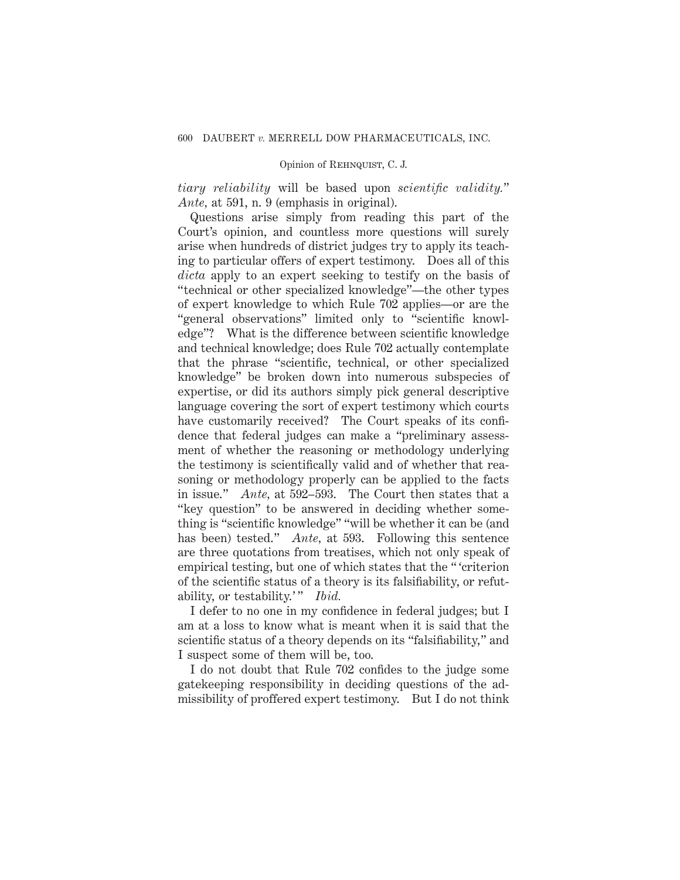*tiary reliability* will be based upon *scientific validity.*" *Ante,* at 591, n. 9 (emphasis in original).

Questions arise simply from reading this part of the Court's opinion, and countless more questions will surely arise when hundreds of district judges try to apply its teaching to particular offers of expert testimony. Does all of this *dicta* apply to an expert seeking to testify on the basis of "technical or other specialized knowledge"—the other types of expert knowledge to which Rule 702 applies—or are the "general observations" limited only to "scientific knowledge"? What is the difference between scientific knowledge and technical knowledge; does Rule 702 actually contemplate that the phrase "scientific, technical, or other specialized knowledge" be broken down into numerous subspecies of expertise, or did its authors simply pick general descriptive language covering the sort of expert testimony which courts have customarily received? The Court speaks of its confidence that federal judges can make a "preliminary assessment of whether the reasoning or methodology underlying the testimony is scientifically valid and of whether that reasoning or methodology properly can be applied to the facts in issue." *Ante,* at 592–593. The Court then states that a "key question" to be answered in deciding whether something is "scientific knowledge" "will be whether it can be (and has been) tested." *Ante,* at 593. Following this sentence are three quotations from treatises, which not only speak of empirical testing, but one of which states that the " 'criterion of the scientific status of a theory is its falsifiability, or refutability, or testability.'" *Ibid.* 

I defer to no one in my confidence in federal judges; but I am at a loss to know what is meant when it is said that the scientific status of a theory depends on its "falsifiability," and I suspect some of them will be, too.

I do not doubt that Rule 702 confides to the judge some gatekeeping responsibility in deciding questions of the admissibility of proffered expert testimony. But I do not think